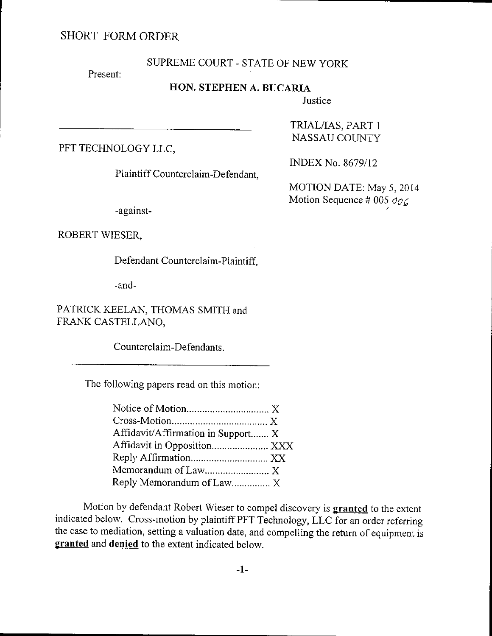# SHORT FORM ORDER

### SUPREME COURT - STATE OF NEW YORK

Present:

## HON. STEPHEN A. BUCARIA

**Justice** 

PFT TECHNOLOGY LLC,

Plaintiff Counterclaim-Defendant,

-against-

### TRIAL/IAS, PART 1 NASSAU COLINTY

INDEX No. 8679/12

MOTION DATE: May 5, 2014 Motion Sequence # 005  $\sigma$ 

ROBERT WIESER,

Defendant Counterclaim-Plaintiff,

-and-

PATRICK KEELAN, THOMAS SMITH and FRANK CASTELLANO,

Counterclaim-Defendants.

The following papers read on this motion:

| Affidavit/Affirmation in Support X |  |
|------------------------------------|--|
| Affidavit in Opposition XXX        |  |
|                                    |  |
| Memorandum of Law X                |  |
| Reply Memorandum of Law X          |  |

Motion by defendant Robert Wieser to compel discovery is **granted** to the extent indicated below. cross-rnotion by plaintiff PFT Technology, LLC for an order referring the case to mediation, setting a valuation date, and compelling the return of equiprnent is granted and denied to the extent indicated below.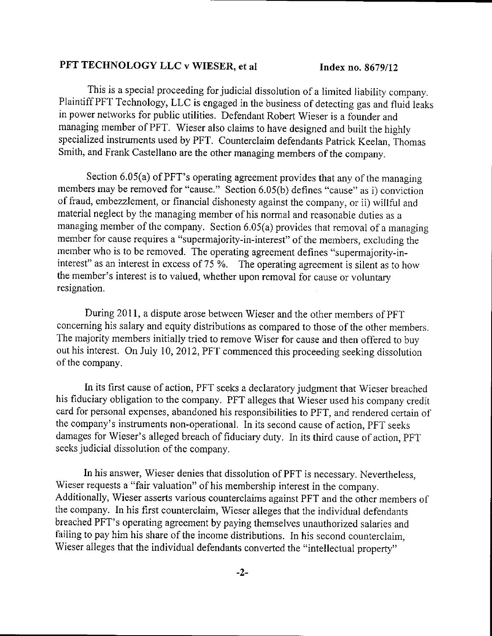#### PFT TECHNOLOGY LLC v WIESER, et al lndex no. 8679/12

This is a special proceeding for judicial dissolution of a limited liabiliry company. Plaintiff PFT Technology, LLC is engaged in the business of detecting gas and fluid leaks in power networks for public utilities. Defendant Robert Wieser is a founder and managing member of PFT. wieser also claims to have designed and built the highly specialized instruments used by PFT. counterclaim defendants patrick Keelan, Thomas Smith, and Frank Castellano are the other managing members of the company.

Section 6.05(a) of PFT's operating agreement provides that any of the managing members may be removed for "cause." Section 6.05(b) defines "cause" as i) conviction of fraud, embezzlement, or financial dishonesty against the company, or ii) willful and material neglect by the managing member of his normal and reasonable duties as a managing member of the company. Section 6.05(a) provides that removal of a managing member for cause requires a "supermajority-in-interest" of the members, excluding the member who is to be removed. The operating agreement defines "supermajority-ininterest" as an interest in excess of 75 %. The operating agreement is silent as to how the mernber's interest is to valued, whether upon removal for cause or voluntary resignation.

During 201l, a dispute arose between Wieser and the other mernbers of PFT concerning his salary and equity distributions as compared to those of the other members. The majority members initially tried to remove Wiser for cause and then offered to buy out his interest. on July 10,2012, PFT commenced this proceeding seeking dissolution of the company.

In its first cause of action, PFT seeks a declaratory judgment that Wieser breached his fiduciary obligation to the company. PFT alleges that wieser used his company credit card for personal expenses, abandoned his responsibilities to PFT, and rendered certain of the company's instruments non-operational. In its second cause of action, PFT seeks damages for Wieser's alleged breach of fiduciary duty. In its third cause of action, PFT seeks judicial dissolution of the company.

In his answer, Wieser denies that dissolution of PFT is necessary. Nevertheless, Wieser requests a "fair valuation" of his membership interest in the company. Additionally, wieser asserts various counterclaims against PFT and the other members of the company. In his first counterclaim, Wieser alleges that the individual defendants breached PFT's operating agreement by paying themselves unauthorized salaries and failing to pay him his share of the income distributions. In his second counterclaim, Wieser alleges that the individual defendants converted the "intellectual property"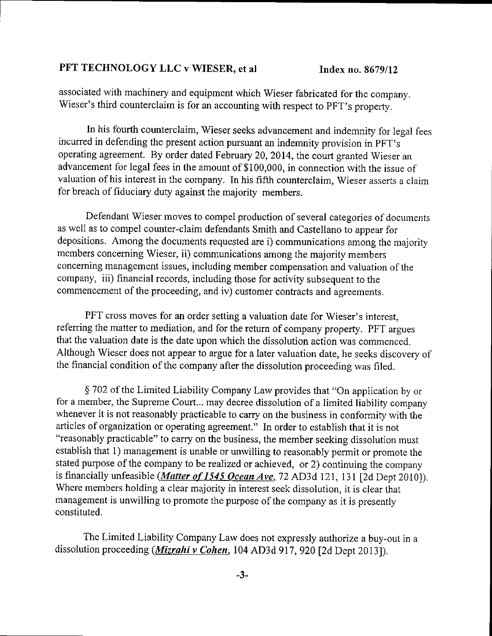#### PFT TECHNOLOGY LLC v WIESER, et al Index no. 8679/12

associated with rnachinery and equipment which wieser fabricated for the company. Wieser's third counterclaim is for an accounting with respect to pFT's property.

In his fourth counterclaim, wieser seeks advancement and indemnity for legal fees incurred in defending the present action pursuant an indemnity provision in PFT's operating agreement. By order dated February 20,2014, the court granted Wieser an advancement for legal fees in the amount of \$100,000, in connection with the issue of valuation of his interest in the company. In his fifth counterclaim, wieser asserts a claim for breach of fiduciary duty against the majority members.

Defendant Wieser moves to compel production of several categories of documents as well as to compel counter-claim defendants Smith and Castellano to appear for depositions. Among the documents requested are i) communications among the majority members conceming Wieser, ii) communications among the majority members concerning management issues, including member compensation and valuation of the cornpany, iii) financial records, including those for activity subsequent to the commencement of the proceeding, and iv) customer contracts and agreements.

PFT cross moves for an order setting a valuation date for Wieser's interest, referring the matter to mediation, and for the return of company property. PFT argues that the valuation date is the date upon which the dissolution action was commenced. Although Wieser does not appear to argue for a later valuation date, he seeks discovery of the financial condition of the company after the dissolution proceeding was filed.

 $§$  702 of the Limited Liability Company Law provides that "On application by or for a member, the Supreme Court... may decree dissolution of a limited liability company whenever it is not reasonably practicable to carry on the business in conformity with the articles of organization or operating agreement." In order to establish that it is not "reasonably practicable" to carry on the business, the member seeking dissolution must establish that 1) management is unable or unwilling to reasonably permit or promote the stated purpose of the company to be realized or achieved, or 2) continuing the company is financially unfeasible (*Matter of 1545 Ocean Ave*, 72 AD3d 121, 131 [2d Dept 2010]). Where members holding a clear majority in interest seek dissolution, it is clear that management is unwilling to promote the purpose of the company as it is presently constituted.

The Limited Liability Company Law does not expressly authorize a buy-out in <sup>a</sup> dissolution proceeding (Mizrahi v Cohen, 104 AD3d 917, 920 [2d Dept 2013]).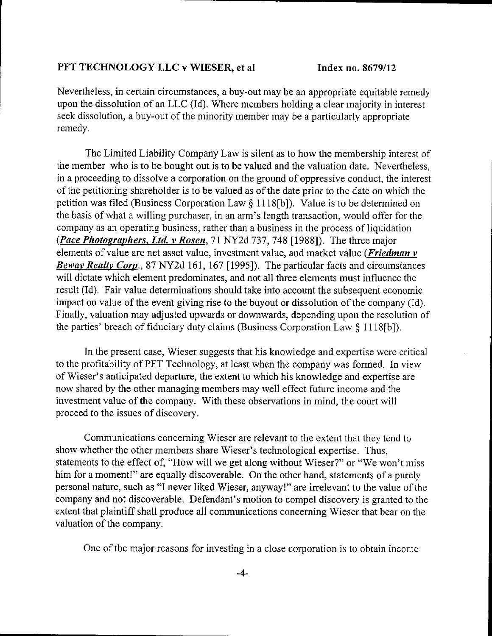#### PFT TECHNOLOGY LLC v WIESER, et al Index no. 8679/12

Nevertheless, in certain circumstances, a buy-out may be an appropriate equitable remedy upon the dissolution of an LLC (Id). Where members holding a clear majority in interest seek dissolution, a buy-out of the minority member may be a particularly appropriate remedy.

The Limited Liabilify Company Law is silent as to how the membership interest of the member who is to be bought out is to be valued and the valuation date. Nevertheless, in a proceeding to dissolve a corporation on the ground of oppressive conduct, the interest ofthe petitioning shareholder is to be valued as of the date prior to the date on which the petition was filed (Business Corporation Law \$ I I l8[b]). Value is to be determined on the basis of what a willing purchaser, in an arm's length transaction, would offer for the company as an operating business, rather than a business in the process of liquidation erce process of riquidation. The process of the team of the process of riquidation (*Pace Photographers, Ltd. v Rosen*, 71 NY2d 737, 748 [1988]). The three major elements of value are net asset value, investment value, and market value (*Friedman v* Beway Realty Corp., 87 NY2d 161, 167 [1995]). The particular facts and circumstances will dictate which element predominates, and not all three elements must influence the result (Id). Fair value determinations should take into account the subsequent economic impact on value of the event giving rise to the buyout or dissolution of the company (Id). Finally, valuation may adjusted upwards or downwards, depending upon the resolution of the parties' breach of fiduciary duty claims (Business Corporation Law \$ 1 1 18[b]).

In the present case, Wieser suggests that his knowledge and expertise were critical to the profitabilify of PFT Technology, at least when the company was formed. In view of Wieser's anticipated departure, the extent to which his knowledge and experlise are now shared by the other managing members may well effect future income and the investment value of the company. With these observations in mind, the court will proceed to the issues of discovery.

Communications concerning Wieser are relevant to the extent that they tend to show whether the other mernbers share Wieser's technological expertise. Thus, statements to the effect of, "How will we get along without Wieser?" or "We won't miss him for a moment!" are equally discoverable. On the other hand, statements of a purely personal nature, such as "I never liked Wieser, anyway!" are irrelevant to the value of the company and not discoverable. Defendant's motion to compel discovery is granted to the extent that plaintiff shall produce all communications concerning Wieser that bear on the valuation of the company.

One of the major reasons for investing in a close corporation is to obtain income